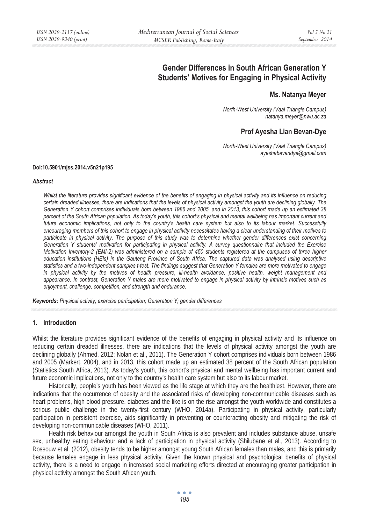# **Gender Differences in South African Generation Y Students' Motives for Engaging in Physical Activity**

# **Ms. Natanya Meyer**

*North-West University (Vaal Triangle Campus) natanya.meyer@nwu.ac.za* 

# **Prof Ayesha Lian Bevan-Dye**

*North-West University (Vaal Triangle Campus) ayeshabevandye@gmail.com* 

#### **Doi:10.5901/mjss.2014.v5n21p195**

#### *Abstract*

*Whilst the literature provides significant evidence of the benefits of engaging in physical activity and its influence on reducing certain dreaded illnesses, there are indications that the levels of physical activity amongst the youth are declining globally. The Generation Y cohort comprises individuals born between 1986 and 2005, and in 2013, this cohort made up an estimated 38 percent of the South African population. As today's youth, this cohort's physical and mental wellbeing has important current and future economic implications, not only to the country's health care system but also to its labour market. Successfully encouraging members of this cohort to engage in physical activity necessitates having a clear understanding of their motives to participate in physical activity. The purpose of this study was to determine whether gender differences exist concerning Generation Y students' motivation for participating in physical activity. A survey questionnaire that included the Exercise Motivation Inventory-2 (EMI-2) was administered on a sample of 450 students registered at the campuses of three higher education institutions (HEIs) in the Gauteng Province of South Africa. The captured data was analysed using descriptive statistics and a two-independent samples t-test. The findings suggest that Generation Y females are more motivated to engage*  in physical activity by the motives of health pressure, ill-health avoidance, positive health, weight management and *appearance. In contrast, Generation Y males are more motivated to engage in physical activity by intrinsic motives such as enjoyment, challenge, competition, and strength and endurance.* 

*Keywords: Physical activity; exercise participation; Generation Y; gender differences* 

### **1. Introduction**

Whilst the literature provides significant evidence of the benefits of engaging in physical activity and its influence on reducing certain dreaded illnesses, there are indications that the levels of physical activity amongst the youth are declining globally (Ahmed, 2012; Nolan et al., 2011). The Generation Y cohort comprises individuals born between 1986 and 2005 (Markert, 2004), and in 2013, this cohort made up an estimated 38 percent of the South African population (Statistics South Africa, 2013). As today's youth, this cohort's physical and mental wellbeing has important current and future economic implications, not only to the country's health care system but also to its labour market.

Historically, people's youth has been viewed as the life stage at which they are the healthiest. However, there are indications that the occurrence of obesity and the associated risks of developing non-communicable diseases such as heart problems, high blood pressure, diabetes and the like is on the rise amongst the youth worldwide and constitutes a serious public challenge in the twenty-first century (WHO, 2014a). Participating in physical activity, particularly participation in persistent exercise, aids significantly in preventing or counteracting obesity and mitigating the risk of developing non-communicable diseases (WHO, 2011).

Health risk behaviour amongst the youth in South Africa is also prevalent and includes substance abuse, unsafe sex, unhealthy eating behaviour and a lack of participation in physical activity (Shilubane et al., 2013). According to Rossouw et al. (2012), obesity tends to be higher amongst young South African females than males, and this is primarily because females engage in less physical activity. Given the known physical and psychological benefits of physical activity, there is a need to engage in increased social marketing efforts directed at encouraging greater participation in physical activity amongst the South African youth.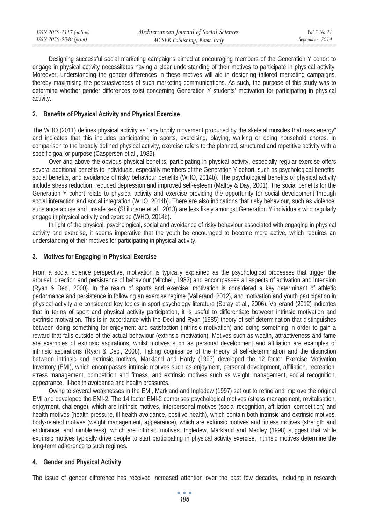| ISSN 2039-2117 (online) | Mediterranean Journal of Social Sciences | Vol 5 No 21    |
|-------------------------|------------------------------------------|----------------|
| ISSN 2039-9340 (print)  | MCSER Publishing, Rome-Italy             | September 2014 |

Designing successful social marketing campaigns aimed at encouraging members of the Generation Y cohort to engage in physical activity necessitates having a clear understanding of their motives to participate in physical activity. Moreover, understanding the gender differences in these motives will aid in designing tailored marketing campaigns, thereby maximising the persuasiveness of such marketing communications. As such, the purpose of this study was to determine whether gender differences exist concerning Generation Y students' motivation for participating in physical activity.

### **2. Benefits of Physical Activity and Physical Exercise**

The WHO (2011) defines physical activity as "any bodily movement produced by the skeletal muscles that uses energy" and indicates that this includes participating in sports, exercising, playing, walking or doing household chores. In comparison to the broadly defined physical activity, exercise refers to the planned, structured and repetitive activity with a specific goal or purpose (Caspersen et al., 1985).

Over and above the obvious physical benefits, participating in physical activity, especially regular exercise offers several additional benefits to individuals, especially members of the Generation Y cohort, such as psychological benefits, social benefits, and avoidance of risky behaviour benefits (WHO, 2014b). The psychological benefits of physical activity include stress reduction, reduced depression and improved self-esteem (Maltby & Day, 2001). The social benefits for the Generation Y cohort relate to physical activity and exercise providing the opportunity for social development through social interaction and social integration (WHO, 2014b). There are also indications that risky behaviour, such as violence, substance abuse and unsafe sex (Shilubane et al., 2013) are less likely amongst Generation Y individuals who regularly engage in physical activity and exercise (WHO, 2014b).

In light of the physical, psychological, social and avoidance of risky behaviour associated with engaging in physical activity and exercise, it seems imperative that the youth be encouraged to become more active, which requires an understanding of their motives for participating in physical activity.

### **3. Motives for Engaging in Physical Exercise**

From a social science perspective, motivation is typically explained as the psychological processes that trigger the arousal, direction and persistence of behaviour (Mitchell, 1982) and encompasses all aspects of activation and intension (Ryan & Deci, 2000). In the realm of sports and exercise, motivation is considered a key determinant of athletic performance and persistence in following an exercise regime (Vallerand, 2012), and motivation and youth participation in physical activity are considered key topics in sport psychology literature (Spray et al., 2006). Vallerand (2012) indicates that in terms of sport and physical activity participation, it is useful to differentiate between intrinsic motivation and extrinsic motivation. This is in accordance with the Deci and Ryan (1985) theory of self-determination that distinguishes between doing something for enjoyment and satisfaction (intrinsic motivation) and doing something in order to gain a reward that falls outside of the actual behaviour (extrinsic motivation). Motives such as wealth, attractiveness and fame are examples of extrinsic aspirations, whilst motives such as personal development and affiliation are examples of intrinsic aspirations (Ryan & Deci, 2008). Taking cognisance of the theory of self-determination and the distinction between intrinsic and extrinsic motives, Markland and Hardy (1993) developed the 12 factor Exercise Motivation Inventory (EMI), which encompasses intrinsic motives such as enjoyment, personal development, affiliation, recreation, stress management, competition and fitness, and extrinsic motives such as weight management, social recognition, appearance, ill-health avoidance and health pressures.

Owing to several weaknesses in the EMI, Markland and Ingledew (1997) set out to refine and improve the original EMI and developed the EMI-2. The 14 factor EMI-2 comprises psychological motives (stress management, revitalisation, enjoyment, challenge), which are intrinsic motives, interpersonal motives (social recognition, affiliation, competition) and health motives (health pressure, ill-health avoidance, positive health), which contain both intrinsic and extrinsic motives, body-related motives (weight management, appearance), which are extrinsic motives and fitness motives (strength and endurance, and nimbleness), which are intrinsic motives. Ingledew, Markland and Medley (1998) suggest that while extrinsic motives typically drive people to start participating in physical activity exercise, intrinsic motives determine the long-term adherence to such regimes.

# **4. Gender and Physical Activity**

The issue of gender difference has received increased attention over the past few decades, including in research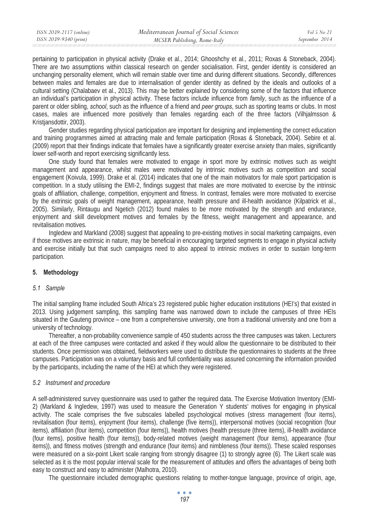| ISSN 2039-2117 (online) | Mediterranean Journal of Social Sciences | Vol 5 No 21    |
|-------------------------|------------------------------------------|----------------|
| ISSN 2039-9340 (print)  | MCSER Publishing, Rome-Italy             | September 2014 |
|                         |                                          |                |

pertaining to participation in physical activity (Drake et al., 2014; Ghooshchy et al., 2011; Roxas & Stoneback, 2004). There are two assumptions within classical research on gender socialisation. First, gender identity is considered an unchanging personality element, which will remain stable over time and during different situations. Secondly, differences between males and females are due to internalisation of gender identity as defined by the ideals and outlooks of a cultural setting (Chalabaev et al., 2013). This may be better explained by considering some of the factors that influence an individual's participation in physical activity. These factors include influence from *family*, such as the influence of a parent or older sibling, *school*, such as the influence of a friend and *peer groups*, such as sporting teams or clubs. In most cases, males are influenced more positively than females regarding each of the three factors (Vilhjalmsson & Kristiansdottir, 2003).

Gender studies regarding physical participation are important for designing and implementing the correct education and training programmes aimed at attracting male and female participation (Roxas & Stoneback, 2004). Sebire et al. (2009) report that their findings indicate that females have a significantly greater exercise anxiety than males, significantly lower self-worth and report exercising significantly less.

One study found that females were motivated to engage in sport more by extrinsic motives such as weight management and appearance, whilst males were motivated by intrinsic motives such as competition and social engagement (Koivula, 1999). Drake et al. (2014) indicates that one of the main motivators for male sport participation is competition. In a study utilising the EMI-2, findings suggest that males are more motivated to exercise by the intrinsic goals of affiliation, challenge, competition, enjoyment and fitness. In contrast, females were more motivated to exercise by the extrinsic goals of weight management, appearance, health pressure and ill-health avoidance (Kilpatrick et al., 2005). Similarly, Rintaugu and Ngetich (2012) found males to be more motivated by the strength and endurance, enjoyment and skill development motives and females by the fitness, weight management and appearance, and revitalisation motives.

Ingledew and Markland (2008) suggest that appealing to pre-existing motives in social marketing campaigns, even if those motives are extrinsic in nature, may be beneficial in encouraging targeted segments to engage in physical activity and exercise initially but that such campaigns need to also appeal to intrinsic motives in order to sustain long-term participation.

# **5. Methodology**

### *5.1 Sample*

The initial sampling frame included South Africa's 23 registered public higher education institutions (HEI's) that existed in 2013. Using judgement sampling, this sampling frame was narrowed down to include the campuses of three HEIs situated in the Gauteng province – one from a comprehensive university, one from a traditional university and one from a university of technology.

Thereafter, a non-probability convenience sample of 450 students across the three campuses was taken. Lecturers at each of the three campuses were contacted and asked if they would allow the questionnaire to be distributed to their students. Once permission was obtained, fieldworkers were used to distribute the questionnaires to students at the three campuses. Participation was on a voluntary basis and full confidentiality was assured concerning the information provided by the participants, including the name of the HEI at which they were registered.

### *5.2 Instrument and procedure*

A self-administered survey questionnaire was used to gather the required data. The Exercise Motivation Inventory (EMI-2) (Markland & Ingledew, 1997) was used to measure the Generation Y students' motives for engaging in physical activity. The scale comprises the five subscales labelled psychological motives (stress management (four items), revitalisation (four items), enjoyment (four items), challenge (five items)), interpersonal motives (social recognition (four items), affiliation (four items), competition (four items)), health motives (health pressure (three items), ill-health avoidance (four items), positive health (four items)), body-related motives (weight management (four items), appearance (four items)), and fitness motives (strength and endurance (four items) and nimbleness (four items)). These scaled responses were measured on a six-point Likert scale ranging from strongly disagree (1) to strongly agree (6). The Likert scale was selected as it is the most popular interval scale for the measurement of attitudes and offers the advantages of being both easy to construct and easy to administer (Malhotra, 2010).

The questionnaire included demographic questions relating to mother-tongue language, province of origin, age,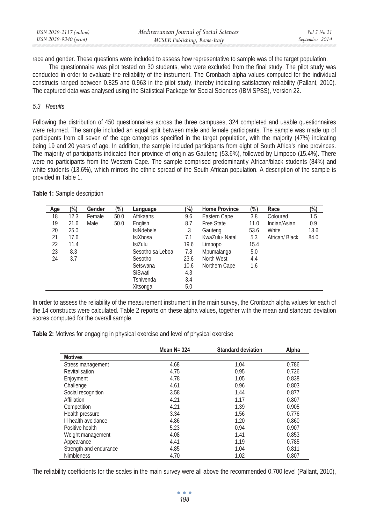| ISSN 2039-2117 (online) | Mediterranean Journal of Social Sciences | Vol 5 No 21    |
|-------------------------|------------------------------------------|----------------|
| ISSN 2039-9340 (print)  | MCSER Publishing, Rome-Italy             | September 2014 |

race and gender. These questions were included to assess how representative to sample was of the target population.

The questionnaire was pilot tested on 30 students, who were excluded from the final study. The pilot study was conducted in order to evaluate the reliability of the instrument. The Cronbach alpha values computed for the individual constructs ranged between 0.825 and 0.963 in the pilot study, thereby indicating satisfactory reliability (Pallant, 2010). The captured data was analysed using the Statistical Package for Social Sciences (IBM SPSS), Version 22.

### *5.3 Results*

Following the distribution of 450 questionnaires across the three campuses, 324 completed and usable questionnaires were returned. The sample included an equal split between male and female participants. The sample was made up of participants from all seven of the age categories specified in the target population, with the majority (47%) indicating being 19 and 20 years of age. In addition, the sample included participants from eight of South Africa's nine provinces. The majority of participants indicated their province of origin as Gauteng (53.6%), followed by Limpopo (15.4%). There were no participants from the Western Cape. The sample comprised predominantly African/black students (84%) and white students (13.6%), which mirrors the ethnic spread of the South African population. A description of the sample is provided in Table 1.

| <b>Age</b> | (%)  | Gender | (%)  | Language          | (%)  | <b>Home Province</b> | (%)  | Race           | (%)  |
|------------|------|--------|------|-------------------|------|----------------------|------|----------------|------|
| 18         | 12.3 | Female | 50.0 | Afrikaans         | 9.6  | Eastern Cape         | 3.8  | Coloured       | 1.5  |
| 19         | 21.6 | Male   | 50.0 | English           | 8.7  | <b>Free State</b>    | 11.0 | Indian/Asian   | 0.9  |
| 20         | 25.0 |        |      | <b>IsiNdebele</b> | .3   | Gauteng              | 53.6 | White          | 13.6 |
| 21         | 17.6 |        |      | <b>IsiXhosa</b>   | 7.1  | KwaZulu-Natal        | 5.3  | African/ Black | 84.0 |
| 22         | 11.4 |        |      | <b>IsiZulu</b>    | 19.6 | Limpopo              | 15.4 |                |      |
| 23         | 8.3  |        |      | Sesotho sa Leboa  | 7.8  | Mpumalanga           | 5.0  |                |      |
| 24         | 3.7  |        |      | Sesotho           | 23.6 | North West           | 4.4  |                |      |
|            |      |        |      | Setswana          | 10.6 | Northern Cape        | 1.6  |                |      |
|            |      |        |      | <b>SiSwati</b>    | 4.3  |                      |      |                |      |
|            |      |        |      | Tshivenda         | 3.4  |                      |      |                |      |
|            |      |        |      | Xitsonga          | 5.0  |                      |      |                |      |

**Table 1:** Sample description

In order to assess the reliability of the measurement instrument in the main survey, the Cronbach alpha values for each of the 14 constructs were calculated. Table 2 reports on these alpha values, together with the mean and standard deviation scores computed for the overall sample.

**Table 2:** Motives for engaging in physical exercise and level of physical exercise

|                        | Mean N= 324 | <b>Standard deviation</b> | Alpha |
|------------------------|-------------|---------------------------|-------|
| <b>Motives</b>         |             |                           |       |
| Stress management      | 4.68        | 1.04                      | 0.786 |
| Revitalisation         | 4.75        | 0.95                      | 0.726 |
| Enjoyment              | 4.78        | 1.05                      | 0.838 |
| Challenge              | 4.61        | 0.96                      | 0.803 |
| Social recognition     | 3.58        | 1.44                      | 0.877 |
| Affiliation            | 4.21        | 1.17                      | 0.807 |
| Competition            | 4.21        | 1.39                      | 0.905 |
| Health pressure        | 3.34        | 1.56                      | 0.776 |
| III-health avoidance   | 4.86        | 1.20                      | 0.860 |
| Positive health        | 5.23        | 0.94                      | 0.907 |
| Weight management      | 4.08        | 1.41                      | 0.853 |
| Appearance             | 4.41        | 1.19                      | 0.785 |
| Strength and endurance | 4.85        | 1.04                      | 0.811 |
| <b>Nimbleness</b>      | 4.70        | 1.02                      | 0.807 |

The reliability coefficients for the scales in the main survey were all above the recommended 0.700 level (Pallant, 2010),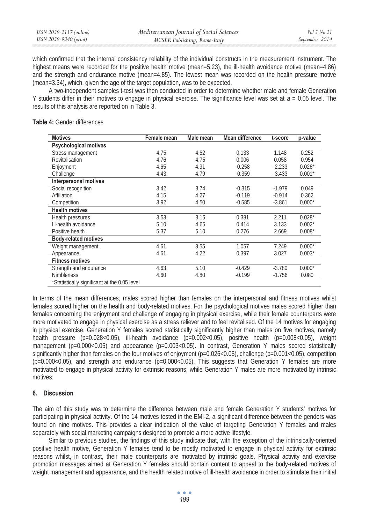| ISSN 2039-2117 (online) | Mediterranean Journal of Social Sciences | Vol 5 No 21    |
|-------------------------|------------------------------------------|----------------|
| ISSN 2039-9340 (print)  | MCSER Publishing, Rome-Italy             | September 2014 |

which confirmed that the internal consistency reliability of the individual constructs in the measurement instrument. The highest means were recorded for the positive health motive (mean=5.23), the ill-health avoidance motive (mean=4.86) and the strength and endurance motive (mean=4.85). The lowest mean was recorded on the health pressure motive (mean=3.34), which, given the age of the target population, was to be expected.

A two-independent samples t-test was then conducted in order to determine whether male and female Generation Y students differ in their motives to engage in physical exercise. The significance level was set at *a* = 0.05 level*.* The results of this analysis are reported on in Table 3.

### **Table 4:** Gender differences

| <b>Motives</b>                               | Female mean | Male mean | <b>Mean difference</b> | t-score  | p-value  |
|----------------------------------------------|-------------|-----------|------------------------|----------|----------|
| <b>Psychological motives</b>                 |             |           |                        |          |          |
| Stress management                            | 4.75        | 4.62      | 0.133                  | 1.148    | 0.252    |
| Revitalisation                               | 4.76        | 4.75      | 0.006                  | 0.058    | 0.954    |
| Enjoyment                                    | 4.65        | 4.91      | $-0.258$               | $-2.233$ | $0.026*$ |
| Challenge                                    | 4.43        | 4.79      | $-0.359$               | $-3.433$ | $0.001*$ |
| <b>Interpersonal motives</b>                 |             |           |                        |          |          |
| Social recognition                           | 3.42        | 3.74      | $-0.315$               | $-1.979$ | 0.049    |
| Affiliation                                  | 4.15        | 4.27      | $-0.119$               | $-0.914$ | 0.362    |
| Competition                                  | 3.92        | 4.50      | $-0.585$               | $-3.861$ | $0.000*$ |
| <b>Health motives</b>                        |             |           |                        |          |          |
| Health pressures                             | 3.53        | 3.15      | 0.381                  | 2.211    | $0.028*$ |
| III-health avoidance                         | 5.10        | 4.65      | 0.414                  | 3.133    | $0.002*$ |
| Positive health                              | 5.37        | 5.10      | 0.276                  | 2.669    | $0.008*$ |
| <b>Body-related motives</b>                  |             |           |                        |          |          |
| Weight management                            | 4.61        | 3.55      | 1.057                  | 7.249    | $0.000*$ |
| Appearance                                   | 4.61        | 4.22      | 0.397                  | 3.027    | $0.003*$ |
| <b>Fitness motives</b>                       |             |           |                        |          |          |
| Strength and endurance                       | 4.63        | 5.10      | $-0.429$               | $-3.780$ | $0.000*$ |
| <b>Nimbleness</b>                            | 4.60        | 4.80      | $-0.199$               | $-1.756$ | 0.080    |
| *Statistically significant at the 0.05 level |             |           |                        |          |          |

In terms of the mean differences, males scored higher than females on the interpersonal and fitness motives whilst females scored higher on the health and body-related motives. For the psychological motives males scored higher than females concerning the enjoyment and challenge of engaging in physical exercise, while their female counterparts were more motivated to engage in physical exercise as a stress reliever and to feel revitalised. Of the 14 motives for engaging in physical exercise, Generation Y females scored statistically significantly higher than males on five motives, namely health pressure (p=0.028<0.05), ill-health avoidance (p=0.002<0.05), positive health (p=0.008<0.05), weight management (p=0.000<0.05) and appearance (p=0.003<0.05). In contrast, Generation Y males scored statistically significantly higher than females on the four motives of enjoyment (p=0.026<0.05), challenge (p=0.001<0.05), competition  $(p=0.000<0.05)$ , and strength and endurance  $(p=0.000<0.05)$ . This suggests that Generation Y females are more motivated to engage in physical activity for extrinsic reasons, while Generation Y males are more motivated by intrinsic motives.

### **6. Discussion**

The aim of this study was to determine the difference between male and female Generation Y students' motives for participating in physical activity. Of the 14 motives tested in the EMI-2, a significant difference between the genders was found on nine motives. This provides a clear indication of the value of targeting Generation Y females and males separately with social marketing campaigns designed to promote a more active lifestyle.

Similar to previous studies, the findings of this study indicate that, with the exception of the intrinsically-oriented positive health motive, Generation Y females tend to be mostly motivated to engage in physical activity for extrinsic reasons whilst, in contrast, their male counterparts are motivated by intrinsic goals. Physical activity and exercise promotion messages aimed at Generation Y females should contain content to appeal to the body-related motives of weight management and appearance, and the health related motive of ill-health avoidance in order to stimulate their initial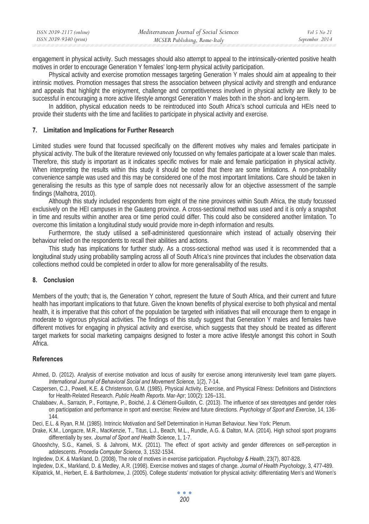| ISSN 2039-2117 (online) | Mediterranean Journal of Social Sciences | Vol 5 No 21    |
|-------------------------|------------------------------------------|----------------|
| ISSN 2039-9340 (print)  | MCSER Publishing, Rome-Italy             | September 2014 |

engagement in physical activity. Such messages should also attempt to appeal to the intrinsically-oriented positive health motives in order to encourage Generation Y females' long-term physical activity participation.

Physical activity and exercise promotion messages targeting Generation Y males should aim at appealing to their intrinsic motives. Promotion messages that stress the association between physical activity and strength and endurance and appeals that highlight the enjoyment, challenge and competitiveness involved in physical activity are likely to be successful in encouraging a more active lifestyle amongst Generation Y males both in the short- and long-term.

In addition, physical education needs to be reintroduced into South Africa's school curricula and HEIs need to provide their students with the time and facilities to participate in physical activity and exercise.

### **7. Limitation and Implications for Further Research**

Limited studies were found that focussed specifically on the different motives why males and females participate in physical activity. The bulk of the literature reviewed only focussed on why females participate at a lower scale than males. Therefore, this study is important as it indicates specific motives for male and female participation in physical activity. When interpreting the results within this study it should be noted that there are some limitations. A non-probability convenience sample was used and this may be considered one of the most important limitations. Care should be taken in generalising the results as this type of sample does not necessarily allow for an objective assessment of the sample findings (Malhotra, 2010).

Although this study included respondents from eight of the nine provinces within South Africa, the study focussed exclusively on the HEI campuses in the Gauteng province. A cross-sectional method was used and it is only a snapshot in time and results within another area or time period could differ. This could also be considered another limitation. To overcome this limitation a longitudinal study would provide more in-depth information and results.

Furthermore, the study utilised a self-administered questionnaire which instead of actually observing their behaviour relied on the respondents to recall their abilities and actions.

This study has implications for further study. As a cross-sectional method was used it is recommended that a longitudinal study using probability sampling across all of South Africa's nine provinces that includes the observation data collections method could be completed in order to allow for more generalisability of the results.

### **8. Conclusion**

Members of the youth; that is, the Generation Y cohort, represent the future of South Africa, and their current and future health has important implications to that future. Given the known benefits of physical exercise to both physical and mental health, it is imperative that this cohort of the population be targeted with initiatives that will encourage them to engage in moderate to vigorous physical activities. The findings of this study suggest that Generation Y males and females have different motives for engaging in physical activity and exercise, which suggests that they should be treated as different target markets for social marketing campaigns designed to foster a more active lifestyle amongst this cohort in South Africa.

#### **References**

- Ahmed, D. (2012). Analysis of exercise motivation and locus of ausilty for exercise among interuniversity level team game players. *International Journal of Behavioral Social and Movement Science,* 1(2), 7-14.
- Caspersen, C.J., Powell, K.E. & Christenson, G.M. (1985). Physical Activity, Exercise, and Physical Fitness: Definitions and Distinctions for Health-Related Research. *Public Health Reports*. Mar-Apr; 100(2): 126–131.
- Chalabaev, A., Sarrazin, P., Fontayne, P., Boiché, J. & Clément-Guillotin, C. (2013). The influence of sex stereotypes and gender roles on participation and performance in sport and exercise: Review and future directions. *Psychology of Sport and Exercise*, 14, 136- 144.
- Deci, E.L. & Ryan, R.M. (1985). Intrincic Motivation and Self Determination in Human Behaviour. New York: Plenum.
- Drake, K.M., Longacre, M.R., MacKenzie, T., Titus, L.J., Beach, M.L., Rundle, A.G. & Dalton, M.A. (2014). High school sport programs differentially by sex. *Journal of Sport and Health Science*, 1, 1-7.
- Ghooshchy, S.G., Kameli, S. & Jahromi, M.K. (2011). The effect of sport activity and gender differences on self-perception in adolescents. *Procedia Computer Science*, 3, 1532-1534.
- Ingledew, D.K. & Markland, D. (2008), The role of motives in exercise participation. *Psychology & Health*, 23(7), 807-828.
- Ingledew, D.K., Markland, D. & Medley, A.R. (1998). Exercise motives and stages of change. *Journal of Health Psychology*, 3, 477-489.

Kilpatrick, M., Herbert, E. & Bartholomew, J. (2005). College students' motivation for physical activity: differentiating Men's and Women's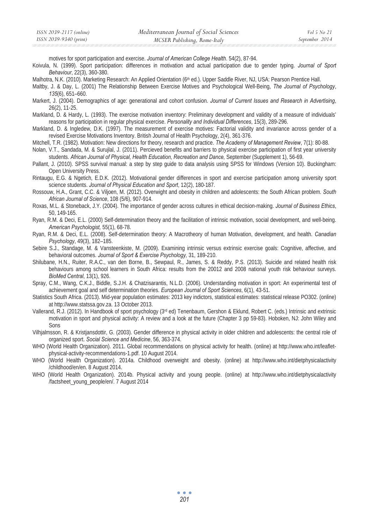motives for sport participation and exercise. *Journal of American College Health*. 54(2), 87-94.

- Koivula, N. (1999). Sport participation: differences in motivation and actual participation due to gender typing. *Journal of Sport Behaviour*, 22(3), 360-380.
- Malhotra, N.K. (2010). Marketing Research: An Applied Orientation (6<sup>th</sup> ed.). Upper Saddle River, NJ, USA: Pearson Prentice Hall.
- Maltby, J. & Day, L. (2001) The Relationship Between Exercise Motives and Psychological Well-Being, *The Journal of Psychology*, *135*(6), 651–660.
- Markert, J. (2004). Demographics of age: generational and cohort confusion. *Journal of Current Issues and Research in Advertising*, 26(2), 11-25.
- Markland, D. & Hardy, L. (1993). The exercise motivation inventory: Preliminary development and validity of a measure of individuals' reasons for participation in regular physical exercise. *Personality and Individual Differences*, 15(3), 289-296.
- Markland, D. & Ingledew, D.K. (1997). The measurement of exercise motives: Factorial validity and invariance across gender of a revised Exercise Motivations Inventory. British Journal of Health Psychology, 2(4), 361-376.
- Mitchell, T.R. (1982). Motivation: New directions for theory, research and practice. *The Academy of Management Review*, 7(1): 80-88.
- Nolan, V.T., Sandada, M. & Surujlal, J. (2011). Percieved benefits and barriers to physical exercise participation of first year university students. *African Journal of Physical, Health Education, Recreation and Dance,* September (Supplement 1), 56-69.
- Pallant, J. (2010). SPSS survival manual: a step by step guide to data analysis using SPSS for Windows (Version 10). Buckingham: Open University Press.
- Rintaugu, E.G. & Ngetich, E.D.K. (2012). Motivational gender differences in sport and exercise participation among university sport science students. *Journal of Physical Education and Sport*, 12(2), 180-187.
- Rossouw, H.A., Grant, C.C. & Viljoen, M. (2012). Overwight and obesity in children and adolescents: the South African problem. *South African Journal of Science*, 108 (5/6), 907-914.
- Roxas, M.L. & Stoneback, J.Y. (2004). The importance of gender across cultures in ethical decision-making. *Journal of Business Ethics*, 50, 149-165.
- Ryan, R.M. & Deci, E.L. (2000) Self-determination theory and the facilitation of intrinsic motivation, social development, and well-being. *American Psychologist,* 55(1), 68-78.
- Ryan, R.M. & Deci, E.L. (2008). Self-determination theory: A Macrotheory of human Motivation, development, and health. *Canadian Psychology*, 49(3), 182–185.
- Sebire S.J., Standage, M. & Vansteenkiste, M. (2009). Examining intrinsic versus extrinsic exercise goals: Cognitive, affective, and behavioral outcomes. *Journal of Sport & Exercise Psychology,* 31, 189-210.
- Shilubane, H.N., Ruiter, R.A.C., van den Borne, B., Sewpaul, R., James, S. & Reddy, P.S. (2013). Suicide and related health risk behaviours among school learners in South Africa: results from the 20012 and 2008 national youth risk behaviour surveys. *BioMed Central*, 13(1), 926.
- Spray, C.M., Wang, C.K.J., Biddle, S.J.H. & Chatzisarantis, N.L.D. (2006). Understanding motivation in sport: An experimental test of achievement goal and self determination theories. *European Journal of Sport Sciences*, 6(1), 43-51.
- Statistics South Africa. (2013). Mid-year population estimates: 2013 key indictors, statistical estimates: statistical release PO302. (online) at http://www.statssa.gov.za. 13 October 2013.
- Vallerand, R.J. (2012). In Handbook of sport psychology (3rd ed) Tenenbaum, Gershon & Eklund, Robert C. (eds.) Intrinsic and extrinsic motivation in sport and physical activity: A review and a look at the future (Chapter 3 pp 59-83). Hoboken, NJ: John Wiley and Sons
- Vilhjalmsson, R. & Kristjansdottir, G. (2003). Gender difference in physical activity in older children and adolescents: the central role of organized sport. *Social Science and Medicine*, 56, 363-374.
- WHO (World Health Organization). 2011. Global recommendations on physical activity for health. (online) at http://www.who.int/leafletphysical-activity-recommendations-1.pdf. 10 August 2014.
- WHO (World Health Organization). 2014a. Childhood overweight and obesity. (online) at http://www.who.int/dietphysicalactivity /childhood/en/en. 8 August 2014.
- WHO (World Health Organization). 2014b. Physical activity and young people. (online) at http://www.who.int/dietphysicalactivity /factsheet\_young\_people/en/. 7 August 2014